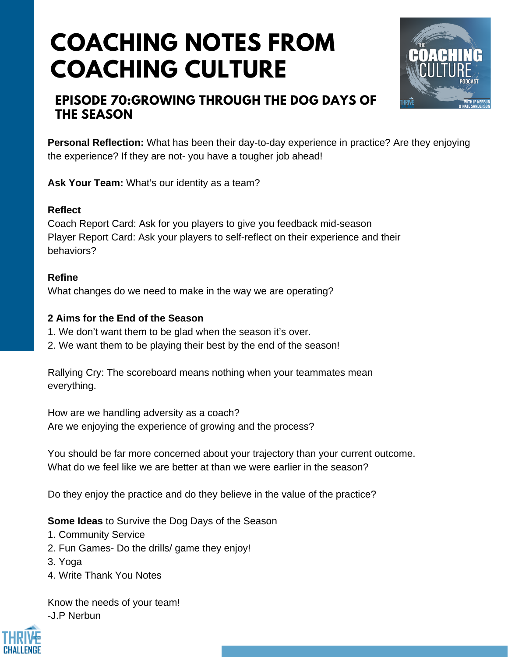# **COACHING NOTES FROM COACHING CULTURE**



### **EPISODE 70:GROWING THROUGH THE DOG DAYS OF THE SEASON**

**Personal Reflection:** What has been their day-to-day experience in practice? Are they enjoying the experience? If they are not- you have a tougher job ahead!

**Ask Your Team:** What's our identity as a team?

#### **Reflect**

Coach Report Card: Ask for you players to give you feedback mid-season Player Report Card: Ask your players to self-reflect on their experience and their behaviors?

#### **Refine**

What changes do we need to make in the way we are operating?

#### **2 Aims for the End of the Season**

- 1. We don't want them to be glad when the season it's over.
- 2. We want them to be playing their best by the end of the season!

Rallying Cry: The scoreboard means nothing when your teammates mean everything.

How are we handling adversity as a coach? Are we enjoying the experience of growing and the process?

You should be far more concerned about your trajectory than your current outcome. What do we feel like we are better at than we were earlier in the season?

Do they enjoy the practice and do they believe in the value of the practice?

**Some Ideas** to Survive the Dog Days of the Season

- 1. Community Service
- 2. Fun Games- Do the drills/ game they enjoy!
- 3. Yoga
- 4. Write Thank You Notes

Know the needs of your team! -J.P Nerbun